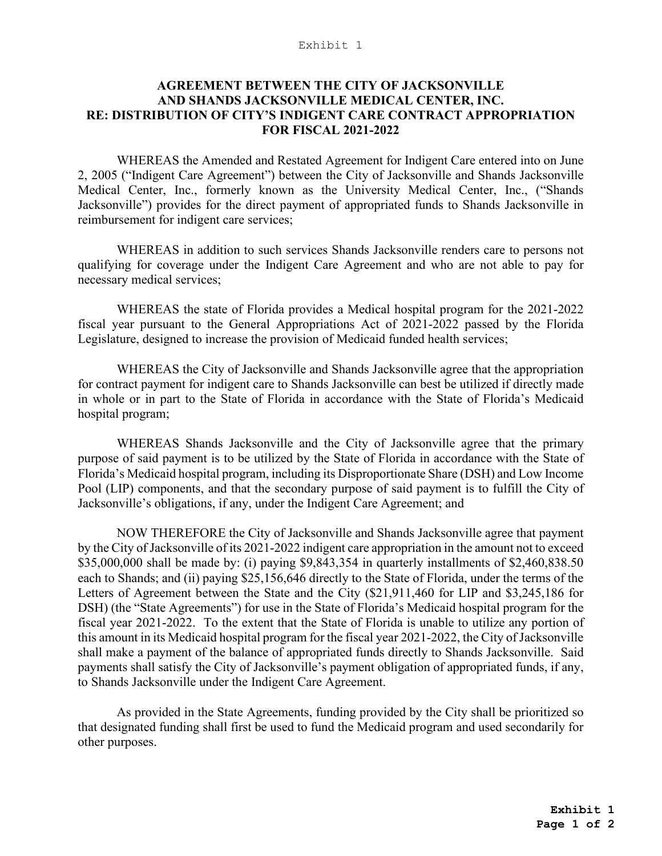## Exhibit 1

## **AGREEMENT BETWEEN THE CITY OF JACKSONVILLE AND SHANDS JACKSONVILLE MEDICAL CENTER, INC. RE: DISTRIBUTION OF CITY'S INDIGENT CARE CONTRACT APPROPRIATION FOR FISCAL 2021-2022**

WHEREAS the Amended and Restated Agreement for Indigent Care entered into on June 2, 2005 ("Indigent Care Agreement") between the City of Jacksonville and Shands Jacksonville Medical Center, Inc., formerly known as the University Medical Center, Inc., ("Shands Jacksonville") provides for the direct payment of appropriated funds to Shands Jacksonville in reimbursement for indigent care services;

WHEREAS in addition to such services Shands Jacksonville renders care to persons not qualifying for coverage under the Indigent Care Agreement and who are not able to pay for necessary medical services;

WHEREAS the state of Florida provides a Medical hospital program for the 2021-2022 fiscal year pursuant to the General Appropriations Act of 2021-2022 passed by the Florida Legislature, designed to increase the provision of Medicaid funded health services;

WHEREAS the City of Jacksonville and Shands Jacksonville agree that the appropriation for contract payment for indigent care to Shands Jacksonville can best be utilized if directly made in whole or in part to the State of Florida in accordance with the State of Florida's Medicaid hospital program;

WHEREAS Shands Jacksonville and the City of Jacksonville agree that the primary purpose of said payment is to be utilized by the State of Florida in accordance with the State of Florida's Medicaid hospital program, including its Disproportionate Share (DSH) and Low Income Pool (LIP) components, and that the secondary purpose of said payment is to fulfill the City of Jacksonville's obligations, if any, under the Indigent Care Agreement; and

NOW THEREFORE the City of Jacksonville and Shands Jacksonville agree that payment by the City of Jacksonville of its 2021-2022 indigent care appropriation in the amount not to exceed \$35,000,000 shall be made by: (i) paying \$9,843,354 in quarterly installments of \$2,460,838.50 each to Shands; and (ii) paying \$25,156,646 directly to the State of Florida, under the terms of the Letters of Agreement between the State and the City (\$21,911,460 for LIP and \$3,245,186 for DSH) (the "State Agreements") for use in the State of Florida's Medicaid hospital program for the fiscal year 2021-2022. To the extent that the State of Florida is unable to utilize any portion of this amount in its Medicaid hospital program for the fiscal year 2021-2022, the City of Jacksonville shall make a payment of the balance of appropriated funds directly to Shands Jacksonville. Said payments shall satisfy the City of Jacksonville's payment obligation of appropriated funds, if any, to Shands Jacksonville under the Indigent Care Agreement.

As provided in the State Agreements, funding provided by the City shall be prioritized so that designated funding shall first be used to fund the Medicaid program and used secondarily for other purposes.